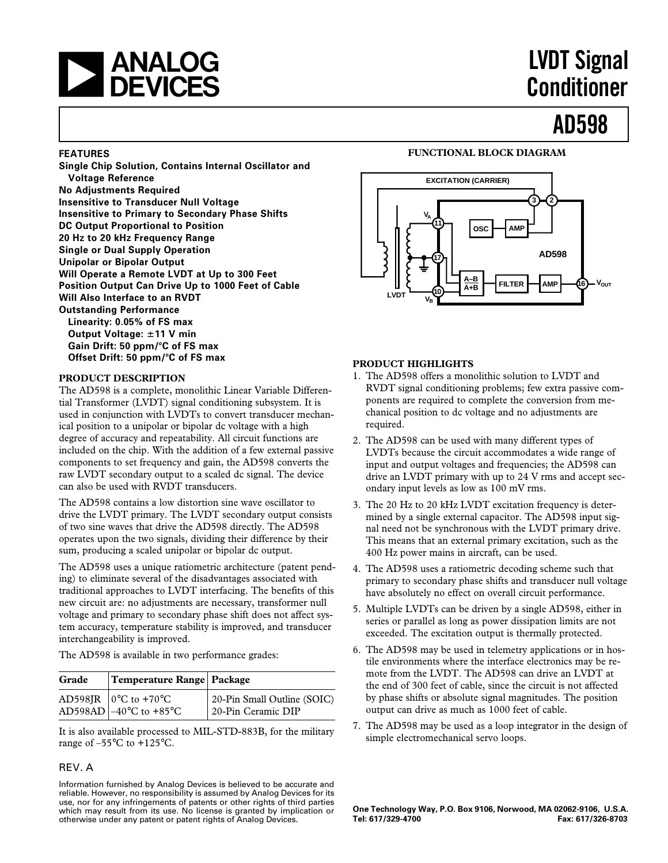## **and LVDT Signal**<br> **A DEVICES Conditioner**

# **Conditioner**

**AD598**

### **FEATURES**

**Single Chip Solution, Contains Internal Oscillator and Voltage Reference No Adjustments Required Insensitive to Transducer Null Voltage Insensitive to Primary to Secondary Phase Shifts DC Output Proportional to Position 20 Hz to 20 kHz Frequency Range Single or Dual Supply Operation Unipolar or Bipolar Output Will Operate a Remote LVDT at Up to 300 Feet Position Output Can Drive Up to 1000 Feet of Cable Will Also Interface to an RVDT Outstanding Performance Linearity: 0.05% of FS max Output Voltage:** 6**11 V min** Gain Drift: 50 ppm/°C of FS max **Offset Drift: 50 ppm/°C of FS max** 

### **PRODUCT DESCRIPTION**

The AD598 is a complete, monolithic Linear Variable Differential Transformer (LVDT) signal conditioning subsystem. It is used in conjunction with LVDTs to convert transducer mechanical position to a unipolar or bipolar dc voltage with a high degree of accuracy and repeatability. All circuit functions are included on the chip. With the addition of a few external passive components to set frequency and gain, the AD598 converts the raw LVDT secondary output to a scaled dc signal. The device can also be used with RVDT transducers.

The AD598 contains a low distortion sine wave oscillator to drive the LVDT primary. The LVDT secondary output consists of two sine waves that drive the AD598 directly. The AD598 operates upon the two signals, dividing their difference by their sum, producing a scaled unipolar or bipolar dc output.

The AD598 uses a unique ratiometric architecture (patent pending) to eliminate several of the disadvantages associated with traditional approaches to LVDT interfacing. The benefits of this new circuit are: no adjustments are necessary, transformer null voltage and primary to secondary phase shift does not affect system accuracy, temperature stability is improved, and transducer interchangeability is improved.

The AD598 is available in two performance grades:

| Grade | Temperature Range Package                                        |                                                   |
|-------|------------------------------------------------------------------|---------------------------------------------------|
|       | AD598JR $\vert$ 0°C to +70°C<br>AD598AD $-40^{\circ}$ C to +85°C | 20-Pin Small Outline (SOIC)<br>20-Pin Ceramic DIP |

It is also available processed to MIL-STD-883B, for the military range of –55°C to +125°C.

### REV. A

Information furnished by Analog Devices is believed to be accurate and reliable. However, no responsibility is assumed by Analog Devices for its use, nor for any infringements of patents or other rights of third parties which may result from its use. No license is granted by implication or otherwise under any patent or patent rights of Analog Devices.

### **FUNCTIONAL BLOCK DIAGRAM**



### **PRODUCT HIGHLIGHTS**

- 1. The AD598 offers a monolithic solution to LVDT and RVDT signal conditioning problems; few extra passive components are required to complete the conversion from mechanical position to dc voltage and no adjustments are required.
- 2. The AD598 can be used with many different types of LVDTs because the circuit accommodates a wide range of input and output voltages and frequencies; the AD598 can drive an LVDT primary with up to 24 V rms and accept secondary input levels as low as 100 mV rms.
- 3. The 20 Hz to 20 kHz LVDT excitation frequency is determined by a single external capacitor. The AD598 input signal need not be synchronous with the LVDT primary drive. This means that an external primary excitation, such as the 400 Hz power mains in aircraft, can be used.
- 4. The AD598 uses a ratiometric decoding scheme such that primary to secondary phase shifts and transducer null voltage have absolutely no effect on overall circuit performance.
- 5. Multiple LVDTs can be driven by a single AD598, either in series or parallel as long as power dissipation limits are not exceeded. The excitation output is thermally protected.
- 6. The AD598 may be used in telemetry applications or in hostile environments where the interface electronics may be remote from the LVDT. The AD598 can drive an LVDT at the end of 300 feet of cable, since the circuit is not affected by phase shifts or absolute signal magnitudes. The position output can drive as much as 1000 feet of cable.
- 7. The AD598 may be used as a loop integrator in the design of simple electromechanical servo loops.

**One Technology Way, P.O. Box 9106, Norwood, MA 02062-9106, U.S.A. Tel: 617/329-4700 Fax: 617/326-8703**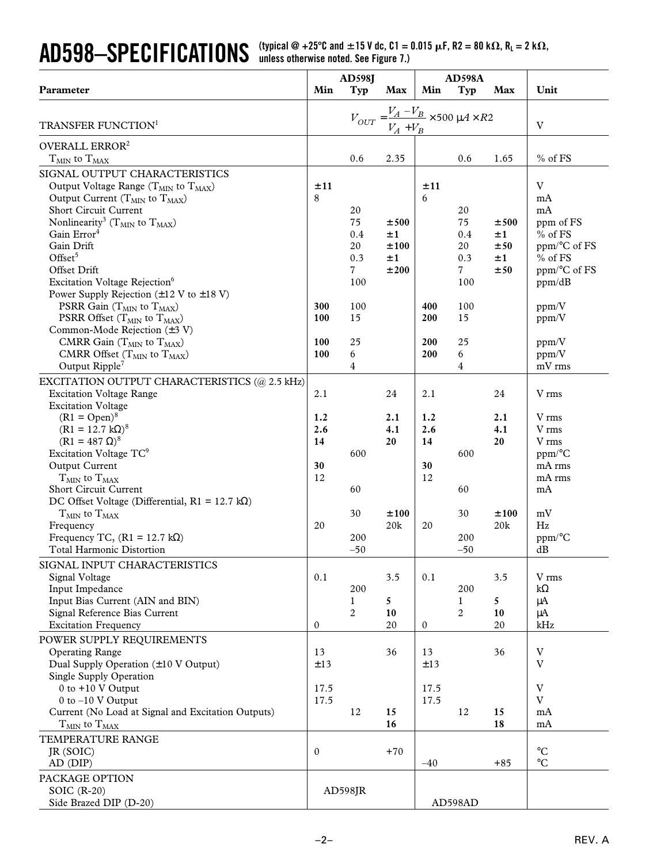**AD598—SPECIFICATIONS** (typical @ +25°C and  $\pm$ 15 V dc, C1 = 0.015  $\mu$ F, R2 = 80 k $\Omega$ , R<sub>L</sub> = 2 k $\Omega$ ,

| Min<br>Typ<br>Min<br>Unit<br>Parameter<br>Max<br>Typ<br>Max<br>$V_{OUT} = \frac{V_A - V_B}{V_A + V_B} \times 500 \mu A \times R2$<br>$\mathbf V$<br>TRANSFER FUNCTION <sup>1</sup><br>OVERALL ERROR <sup>2</sup><br>2.35<br>$%$ of FS<br>$T_{MIN}$ to $T_{MAX}$<br>0.6<br>0.6<br>1.65<br>SIGNAL OUTPUT CHARACTERISTICS<br>V<br>±11<br>±11<br>Output Voltage Range ( $T_{MIN}$ to $T_{MAX}$ )<br>8<br>6<br>Output Current ( $T_{MIN}$ to $T_{MAX}$ )<br>mA<br>Short Circuit Current<br>20<br>20<br>mA<br>Nonlinearity <sup>3</sup> ( $T_{MIN}$ to $T_{MAX}$ )<br>75<br>75<br>ppm of FS<br>±500<br>±500<br>Gain Error <sup>4</sup><br>0.4<br>0.4<br>$%$ of FS<br>±1<br>±1<br>Gain Drift<br>20<br>20<br>±100<br>±50<br>ppm/°C of FS<br>Offset $5$<br>0.3<br>0.3<br>$%$ of FS<br>±1<br>±1<br>$7\overline{ }$<br>$7\phantom{.}$<br>Offset Drift<br>±200<br>±50<br>ppm/°C of FS<br>Excitation Voltage Rejection <sup>6</sup><br>100<br>100<br>ppm/dB<br>Power Supply Rejection $(\pm 12 \text{ V to } \pm 18 \text{ V})$<br>PSRR Gain $(T_{MIN}$ to $T_{MAX}$ )<br>100<br>100<br>300<br>400<br>ppm/V<br>100<br>15<br>200<br>15<br>PSRR Offset ( $T_{MIN}$ to $T_{MAX}$ )<br>ppm/V<br>Common-Mode Rejection $(\pm 3 \text{ V})$<br>25<br>25<br>CMRR Gain $(T_{MIN}$ to $T_{MAX}$ )<br>100<br>200<br>ppm/V<br>CMRR Offset $(T_{MIN}$ to $T_{MAX}$ )<br>100<br>6<br>200<br>6<br>ppm/V<br>Output Ripple <sup>7</sup><br>4<br>4<br>mV rms<br>EXCITATION OUTPUT CHARACTERISTICS (@ 2.5 kHz)<br><b>Excitation Voltage Range</b><br>2.1<br>24<br>2.1<br>24<br>V rms<br><b>Excitation Voltage</b><br>$(R1 = Open)^8$<br>1.2<br>2.1<br>1.2<br>2.1<br>V rms<br>$(R1 = 12.7 \text{ k}\Omega)^8$<br>2.6<br>4.1<br>2.6<br>4.1<br>V rms<br>$(R1 = 487 \Omega)^8$<br>14<br>20<br>14<br>20<br>V rms<br>Excitation Voltage TC <sup>9</sup><br>600<br>600<br>$ppm$ <sup>o</sup> C<br>Output Current<br>30<br>mA rms<br>30<br>12<br>12<br>$T_{MIN}$ to $T_{MAX}$<br>mA rms<br><b>Short Circuit Current</b><br>60<br>60<br>mA<br>DC Offset Voltage (Differential, $R1 = 12.7 k\Omega$ )<br>30<br>30<br>mV<br>$T_{MIN}$ to $T_{MAX}$<br>±100<br>±100<br>20k<br>20k<br>Hz<br>Frequency<br>20<br>20<br>Frequency TC, $(R1 = 12.7 \text{ k}\Omega)$<br>200<br>200<br>ppm/°C<br><b>Total Harmonic Distortion</b><br>$-50$<br>$-50$<br>dB<br>SIGNAL INPUT CHARACTERISTICS<br>0.1<br>Signal Voltage<br>0.1<br>3.5<br>3.5<br>V rms<br>Input Impedance<br>200<br>200<br>$k\Omega$<br>Input Bias Current (AIN and BIN)<br>1<br>5<br>1<br>5.<br>μA<br>Signal Reference Bias Current<br>$\overline{c}$<br>$\overline{c}$<br>10<br>10<br>μA<br>kHz<br><b>Excitation Frequency</b><br>20<br>20<br>$\mathbf{0}$<br>0 | <b>AD598J</b> |  | <b>AD598A</b> |  |  |  |  |
|----------------------------------------------------------------------------------------------------------------------------------------------------------------------------------------------------------------------------------------------------------------------------------------------------------------------------------------------------------------------------------------------------------------------------------------------------------------------------------------------------------------------------------------------------------------------------------------------------------------------------------------------------------------------------------------------------------------------------------------------------------------------------------------------------------------------------------------------------------------------------------------------------------------------------------------------------------------------------------------------------------------------------------------------------------------------------------------------------------------------------------------------------------------------------------------------------------------------------------------------------------------------------------------------------------------------------------------------------------------------------------------------------------------------------------------------------------------------------------------------------------------------------------------------------------------------------------------------------------------------------------------------------------------------------------------------------------------------------------------------------------------------------------------------------------------------------------------------------------------------------------------------------------------------------------------------------------------------------------------------------------------------------------------------------------------------------------------------------------------------------------------------------------------------------------------------------------------------------------------------------------------------------------------------------------------------------------------------------------------------------------------------------------------------------------------------------------------------------------------------------------------------------------------------------------------------------------------------------------------------------------------------------------------------------|---------------|--|---------------|--|--|--|--|
|                                                                                                                                                                                                                                                                                                                                                                                                                                                                                                                                                                                                                                                                                                                                                                                                                                                                                                                                                                                                                                                                                                                                                                                                                                                                                                                                                                                                                                                                                                                                                                                                                                                                                                                                                                                                                                                                                                                                                                                                                                                                                                                                                                                                                                                                                                                                                                                                                                                                                                                                                                                                                                                                            |               |  |               |  |  |  |  |
|                                                                                                                                                                                                                                                                                                                                                                                                                                                                                                                                                                                                                                                                                                                                                                                                                                                                                                                                                                                                                                                                                                                                                                                                                                                                                                                                                                                                                                                                                                                                                                                                                                                                                                                                                                                                                                                                                                                                                                                                                                                                                                                                                                                                                                                                                                                                                                                                                                                                                                                                                                                                                                                                            |               |  |               |  |  |  |  |
|                                                                                                                                                                                                                                                                                                                                                                                                                                                                                                                                                                                                                                                                                                                                                                                                                                                                                                                                                                                                                                                                                                                                                                                                                                                                                                                                                                                                                                                                                                                                                                                                                                                                                                                                                                                                                                                                                                                                                                                                                                                                                                                                                                                                                                                                                                                                                                                                                                                                                                                                                                                                                                                                            |               |  |               |  |  |  |  |
|                                                                                                                                                                                                                                                                                                                                                                                                                                                                                                                                                                                                                                                                                                                                                                                                                                                                                                                                                                                                                                                                                                                                                                                                                                                                                                                                                                                                                                                                                                                                                                                                                                                                                                                                                                                                                                                                                                                                                                                                                                                                                                                                                                                                                                                                                                                                                                                                                                                                                                                                                                                                                                                                            |               |  |               |  |  |  |  |
|                                                                                                                                                                                                                                                                                                                                                                                                                                                                                                                                                                                                                                                                                                                                                                                                                                                                                                                                                                                                                                                                                                                                                                                                                                                                                                                                                                                                                                                                                                                                                                                                                                                                                                                                                                                                                                                                                                                                                                                                                                                                                                                                                                                                                                                                                                                                                                                                                                                                                                                                                                                                                                                                            |               |  |               |  |  |  |  |
|                                                                                                                                                                                                                                                                                                                                                                                                                                                                                                                                                                                                                                                                                                                                                                                                                                                                                                                                                                                                                                                                                                                                                                                                                                                                                                                                                                                                                                                                                                                                                                                                                                                                                                                                                                                                                                                                                                                                                                                                                                                                                                                                                                                                                                                                                                                                                                                                                                                                                                                                                                                                                                                                            |               |  |               |  |  |  |  |
|                                                                                                                                                                                                                                                                                                                                                                                                                                                                                                                                                                                                                                                                                                                                                                                                                                                                                                                                                                                                                                                                                                                                                                                                                                                                                                                                                                                                                                                                                                                                                                                                                                                                                                                                                                                                                                                                                                                                                                                                                                                                                                                                                                                                                                                                                                                                                                                                                                                                                                                                                                                                                                                                            |               |  |               |  |  |  |  |
|                                                                                                                                                                                                                                                                                                                                                                                                                                                                                                                                                                                                                                                                                                                                                                                                                                                                                                                                                                                                                                                                                                                                                                                                                                                                                                                                                                                                                                                                                                                                                                                                                                                                                                                                                                                                                                                                                                                                                                                                                                                                                                                                                                                                                                                                                                                                                                                                                                                                                                                                                                                                                                                                            |               |  |               |  |  |  |  |
|                                                                                                                                                                                                                                                                                                                                                                                                                                                                                                                                                                                                                                                                                                                                                                                                                                                                                                                                                                                                                                                                                                                                                                                                                                                                                                                                                                                                                                                                                                                                                                                                                                                                                                                                                                                                                                                                                                                                                                                                                                                                                                                                                                                                                                                                                                                                                                                                                                                                                                                                                                                                                                                                            |               |  |               |  |  |  |  |
|                                                                                                                                                                                                                                                                                                                                                                                                                                                                                                                                                                                                                                                                                                                                                                                                                                                                                                                                                                                                                                                                                                                                                                                                                                                                                                                                                                                                                                                                                                                                                                                                                                                                                                                                                                                                                                                                                                                                                                                                                                                                                                                                                                                                                                                                                                                                                                                                                                                                                                                                                                                                                                                                            |               |  |               |  |  |  |  |
|                                                                                                                                                                                                                                                                                                                                                                                                                                                                                                                                                                                                                                                                                                                                                                                                                                                                                                                                                                                                                                                                                                                                                                                                                                                                                                                                                                                                                                                                                                                                                                                                                                                                                                                                                                                                                                                                                                                                                                                                                                                                                                                                                                                                                                                                                                                                                                                                                                                                                                                                                                                                                                                                            |               |  |               |  |  |  |  |
|                                                                                                                                                                                                                                                                                                                                                                                                                                                                                                                                                                                                                                                                                                                                                                                                                                                                                                                                                                                                                                                                                                                                                                                                                                                                                                                                                                                                                                                                                                                                                                                                                                                                                                                                                                                                                                                                                                                                                                                                                                                                                                                                                                                                                                                                                                                                                                                                                                                                                                                                                                                                                                                                            |               |  |               |  |  |  |  |
|                                                                                                                                                                                                                                                                                                                                                                                                                                                                                                                                                                                                                                                                                                                                                                                                                                                                                                                                                                                                                                                                                                                                                                                                                                                                                                                                                                                                                                                                                                                                                                                                                                                                                                                                                                                                                                                                                                                                                                                                                                                                                                                                                                                                                                                                                                                                                                                                                                                                                                                                                                                                                                                                            |               |  |               |  |  |  |  |
|                                                                                                                                                                                                                                                                                                                                                                                                                                                                                                                                                                                                                                                                                                                                                                                                                                                                                                                                                                                                                                                                                                                                                                                                                                                                                                                                                                                                                                                                                                                                                                                                                                                                                                                                                                                                                                                                                                                                                                                                                                                                                                                                                                                                                                                                                                                                                                                                                                                                                                                                                                                                                                                                            |               |  |               |  |  |  |  |
|                                                                                                                                                                                                                                                                                                                                                                                                                                                                                                                                                                                                                                                                                                                                                                                                                                                                                                                                                                                                                                                                                                                                                                                                                                                                                                                                                                                                                                                                                                                                                                                                                                                                                                                                                                                                                                                                                                                                                                                                                                                                                                                                                                                                                                                                                                                                                                                                                                                                                                                                                                                                                                                                            |               |  |               |  |  |  |  |
|                                                                                                                                                                                                                                                                                                                                                                                                                                                                                                                                                                                                                                                                                                                                                                                                                                                                                                                                                                                                                                                                                                                                                                                                                                                                                                                                                                                                                                                                                                                                                                                                                                                                                                                                                                                                                                                                                                                                                                                                                                                                                                                                                                                                                                                                                                                                                                                                                                                                                                                                                                                                                                                                            |               |  |               |  |  |  |  |
|                                                                                                                                                                                                                                                                                                                                                                                                                                                                                                                                                                                                                                                                                                                                                                                                                                                                                                                                                                                                                                                                                                                                                                                                                                                                                                                                                                                                                                                                                                                                                                                                                                                                                                                                                                                                                                                                                                                                                                                                                                                                                                                                                                                                                                                                                                                                                                                                                                                                                                                                                                                                                                                                            |               |  |               |  |  |  |  |
|                                                                                                                                                                                                                                                                                                                                                                                                                                                                                                                                                                                                                                                                                                                                                                                                                                                                                                                                                                                                                                                                                                                                                                                                                                                                                                                                                                                                                                                                                                                                                                                                                                                                                                                                                                                                                                                                                                                                                                                                                                                                                                                                                                                                                                                                                                                                                                                                                                                                                                                                                                                                                                                                            |               |  |               |  |  |  |  |
|                                                                                                                                                                                                                                                                                                                                                                                                                                                                                                                                                                                                                                                                                                                                                                                                                                                                                                                                                                                                                                                                                                                                                                                                                                                                                                                                                                                                                                                                                                                                                                                                                                                                                                                                                                                                                                                                                                                                                                                                                                                                                                                                                                                                                                                                                                                                                                                                                                                                                                                                                                                                                                                                            |               |  |               |  |  |  |  |
|                                                                                                                                                                                                                                                                                                                                                                                                                                                                                                                                                                                                                                                                                                                                                                                                                                                                                                                                                                                                                                                                                                                                                                                                                                                                                                                                                                                                                                                                                                                                                                                                                                                                                                                                                                                                                                                                                                                                                                                                                                                                                                                                                                                                                                                                                                                                                                                                                                                                                                                                                                                                                                                                            |               |  |               |  |  |  |  |
|                                                                                                                                                                                                                                                                                                                                                                                                                                                                                                                                                                                                                                                                                                                                                                                                                                                                                                                                                                                                                                                                                                                                                                                                                                                                                                                                                                                                                                                                                                                                                                                                                                                                                                                                                                                                                                                                                                                                                                                                                                                                                                                                                                                                                                                                                                                                                                                                                                                                                                                                                                                                                                                                            |               |  |               |  |  |  |  |
|                                                                                                                                                                                                                                                                                                                                                                                                                                                                                                                                                                                                                                                                                                                                                                                                                                                                                                                                                                                                                                                                                                                                                                                                                                                                                                                                                                                                                                                                                                                                                                                                                                                                                                                                                                                                                                                                                                                                                                                                                                                                                                                                                                                                                                                                                                                                                                                                                                                                                                                                                                                                                                                                            |               |  |               |  |  |  |  |
|                                                                                                                                                                                                                                                                                                                                                                                                                                                                                                                                                                                                                                                                                                                                                                                                                                                                                                                                                                                                                                                                                                                                                                                                                                                                                                                                                                                                                                                                                                                                                                                                                                                                                                                                                                                                                                                                                                                                                                                                                                                                                                                                                                                                                                                                                                                                                                                                                                                                                                                                                                                                                                                                            |               |  |               |  |  |  |  |
|                                                                                                                                                                                                                                                                                                                                                                                                                                                                                                                                                                                                                                                                                                                                                                                                                                                                                                                                                                                                                                                                                                                                                                                                                                                                                                                                                                                                                                                                                                                                                                                                                                                                                                                                                                                                                                                                                                                                                                                                                                                                                                                                                                                                                                                                                                                                                                                                                                                                                                                                                                                                                                                                            |               |  |               |  |  |  |  |
|                                                                                                                                                                                                                                                                                                                                                                                                                                                                                                                                                                                                                                                                                                                                                                                                                                                                                                                                                                                                                                                                                                                                                                                                                                                                                                                                                                                                                                                                                                                                                                                                                                                                                                                                                                                                                                                                                                                                                                                                                                                                                                                                                                                                                                                                                                                                                                                                                                                                                                                                                                                                                                                                            |               |  |               |  |  |  |  |
|                                                                                                                                                                                                                                                                                                                                                                                                                                                                                                                                                                                                                                                                                                                                                                                                                                                                                                                                                                                                                                                                                                                                                                                                                                                                                                                                                                                                                                                                                                                                                                                                                                                                                                                                                                                                                                                                                                                                                                                                                                                                                                                                                                                                                                                                                                                                                                                                                                                                                                                                                                                                                                                                            |               |  |               |  |  |  |  |
|                                                                                                                                                                                                                                                                                                                                                                                                                                                                                                                                                                                                                                                                                                                                                                                                                                                                                                                                                                                                                                                                                                                                                                                                                                                                                                                                                                                                                                                                                                                                                                                                                                                                                                                                                                                                                                                                                                                                                                                                                                                                                                                                                                                                                                                                                                                                                                                                                                                                                                                                                                                                                                                                            |               |  |               |  |  |  |  |
|                                                                                                                                                                                                                                                                                                                                                                                                                                                                                                                                                                                                                                                                                                                                                                                                                                                                                                                                                                                                                                                                                                                                                                                                                                                                                                                                                                                                                                                                                                                                                                                                                                                                                                                                                                                                                                                                                                                                                                                                                                                                                                                                                                                                                                                                                                                                                                                                                                                                                                                                                                                                                                                                            |               |  |               |  |  |  |  |
|                                                                                                                                                                                                                                                                                                                                                                                                                                                                                                                                                                                                                                                                                                                                                                                                                                                                                                                                                                                                                                                                                                                                                                                                                                                                                                                                                                                                                                                                                                                                                                                                                                                                                                                                                                                                                                                                                                                                                                                                                                                                                                                                                                                                                                                                                                                                                                                                                                                                                                                                                                                                                                                                            |               |  |               |  |  |  |  |
|                                                                                                                                                                                                                                                                                                                                                                                                                                                                                                                                                                                                                                                                                                                                                                                                                                                                                                                                                                                                                                                                                                                                                                                                                                                                                                                                                                                                                                                                                                                                                                                                                                                                                                                                                                                                                                                                                                                                                                                                                                                                                                                                                                                                                                                                                                                                                                                                                                                                                                                                                                                                                                                                            |               |  |               |  |  |  |  |
|                                                                                                                                                                                                                                                                                                                                                                                                                                                                                                                                                                                                                                                                                                                                                                                                                                                                                                                                                                                                                                                                                                                                                                                                                                                                                                                                                                                                                                                                                                                                                                                                                                                                                                                                                                                                                                                                                                                                                                                                                                                                                                                                                                                                                                                                                                                                                                                                                                                                                                                                                                                                                                                                            |               |  |               |  |  |  |  |
|                                                                                                                                                                                                                                                                                                                                                                                                                                                                                                                                                                                                                                                                                                                                                                                                                                                                                                                                                                                                                                                                                                                                                                                                                                                                                                                                                                                                                                                                                                                                                                                                                                                                                                                                                                                                                                                                                                                                                                                                                                                                                                                                                                                                                                                                                                                                                                                                                                                                                                                                                                                                                                                                            |               |  |               |  |  |  |  |
|                                                                                                                                                                                                                                                                                                                                                                                                                                                                                                                                                                                                                                                                                                                                                                                                                                                                                                                                                                                                                                                                                                                                                                                                                                                                                                                                                                                                                                                                                                                                                                                                                                                                                                                                                                                                                                                                                                                                                                                                                                                                                                                                                                                                                                                                                                                                                                                                                                                                                                                                                                                                                                                                            |               |  |               |  |  |  |  |
|                                                                                                                                                                                                                                                                                                                                                                                                                                                                                                                                                                                                                                                                                                                                                                                                                                                                                                                                                                                                                                                                                                                                                                                                                                                                                                                                                                                                                                                                                                                                                                                                                                                                                                                                                                                                                                                                                                                                                                                                                                                                                                                                                                                                                                                                                                                                                                                                                                                                                                                                                                                                                                                                            |               |  |               |  |  |  |  |
|                                                                                                                                                                                                                                                                                                                                                                                                                                                                                                                                                                                                                                                                                                                                                                                                                                                                                                                                                                                                                                                                                                                                                                                                                                                                                                                                                                                                                                                                                                                                                                                                                                                                                                                                                                                                                                                                                                                                                                                                                                                                                                                                                                                                                                                                                                                                                                                                                                                                                                                                                                                                                                                                            |               |  |               |  |  |  |  |
|                                                                                                                                                                                                                                                                                                                                                                                                                                                                                                                                                                                                                                                                                                                                                                                                                                                                                                                                                                                                                                                                                                                                                                                                                                                                                                                                                                                                                                                                                                                                                                                                                                                                                                                                                                                                                                                                                                                                                                                                                                                                                                                                                                                                                                                                                                                                                                                                                                                                                                                                                                                                                                                                            |               |  |               |  |  |  |  |
|                                                                                                                                                                                                                                                                                                                                                                                                                                                                                                                                                                                                                                                                                                                                                                                                                                                                                                                                                                                                                                                                                                                                                                                                                                                                                                                                                                                                                                                                                                                                                                                                                                                                                                                                                                                                                                                                                                                                                                                                                                                                                                                                                                                                                                                                                                                                                                                                                                                                                                                                                                                                                                                                            |               |  |               |  |  |  |  |
|                                                                                                                                                                                                                                                                                                                                                                                                                                                                                                                                                                                                                                                                                                                                                                                                                                                                                                                                                                                                                                                                                                                                                                                                                                                                                                                                                                                                                                                                                                                                                                                                                                                                                                                                                                                                                                                                                                                                                                                                                                                                                                                                                                                                                                                                                                                                                                                                                                                                                                                                                                                                                                                                            |               |  |               |  |  |  |  |
|                                                                                                                                                                                                                                                                                                                                                                                                                                                                                                                                                                                                                                                                                                                                                                                                                                                                                                                                                                                                                                                                                                                                                                                                                                                                                                                                                                                                                                                                                                                                                                                                                                                                                                                                                                                                                                                                                                                                                                                                                                                                                                                                                                                                                                                                                                                                                                                                                                                                                                                                                                                                                                                                            |               |  |               |  |  |  |  |
|                                                                                                                                                                                                                                                                                                                                                                                                                                                                                                                                                                                                                                                                                                                                                                                                                                                                                                                                                                                                                                                                                                                                                                                                                                                                                                                                                                                                                                                                                                                                                                                                                                                                                                                                                                                                                                                                                                                                                                                                                                                                                                                                                                                                                                                                                                                                                                                                                                                                                                                                                                                                                                                                            |               |  |               |  |  |  |  |
|                                                                                                                                                                                                                                                                                                                                                                                                                                                                                                                                                                                                                                                                                                                                                                                                                                                                                                                                                                                                                                                                                                                                                                                                                                                                                                                                                                                                                                                                                                                                                                                                                                                                                                                                                                                                                                                                                                                                                                                                                                                                                                                                                                                                                                                                                                                                                                                                                                                                                                                                                                                                                                                                            |               |  |               |  |  |  |  |
| POWER SUPPLY REQUIREMENTS                                                                                                                                                                                                                                                                                                                                                                                                                                                                                                                                                                                                                                                                                                                                                                                                                                                                                                                                                                                                                                                                                                                                                                                                                                                                                                                                                                                                                                                                                                                                                                                                                                                                                                                                                                                                                                                                                                                                                                                                                                                                                                                                                                                                                                                                                                                                                                                                                                                                                                                                                                                                                                                  |               |  |               |  |  |  |  |
| <b>Operating Range</b><br>13<br>36<br>13<br>36<br>V                                                                                                                                                                                                                                                                                                                                                                                                                                                                                                                                                                                                                                                                                                                                                                                                                                                                                                                                                                                                                                                                                                                                                                                                                                                                                                                                                                                                                                                                                                                                                                                                                                                                                                                                                                                                                                                                                                                                                                                                                                                                                                                                                                                                                                                                                                                                                                                                                                                                                                                                                                                                                        |               |  |               |  |  |  |  |
| Dual Supply Operation (±10 V Output)<br>V<br>±13<br>±13                                                                                                                                                                                                                                                                                                                                                                                                                                                                                                                                                                                                                                                                                                                                                                                                                                                                                                                                                                                                                                                                                                                                                                                                                                                                                                                                                                                                                                                                                                                                                                                                                                                                                                                                                                                                                                                                                                                                                                                                                                                                                                                                                                                                                                                                                                                                                                                                                                                                                                                                                                                                                    |               |  |               |  |  |  |  |
| <b>Single Supply Operation</b>                                                                                                                                                                                                                                                                                                                                                                                                                                                                                                                                                                                                                                                                                                                                                                                                                                                                                                                                                                                                                                                                                                                                                                                                                                                                                                                                                                                                                                                                                                                                                                                                                                                                                                                                                                                                                                                                                                                                                                                                                                                                                                                                                                                                                                                                                                                                                                                                                                                                                                                                                                                                                                             |               |  |               |  |  |  |  |
| $0$ to $+10$ V Output<br>17.5<br>17.5<br>V                                                                                                                                                                                                                                                                                                                                                                                                                                                                                                                                                                                                                                                                                                                                                                                                                                                                                                                                                                                                                                                                                                                                                                                                                                                                                                                                                                                                                                                                                                                                                                                                                                                                                                                                                                                                                                                                                                                                                                                                                                                                                                                                                                                                                                                                                                                                                                                                                                                                                                                                                                                                                                 |               |  |               |  |  |  |  |
| 17.5<br>V<br>$0$ to $-10$ V Output<br>17.5                                                                                                                                                                                                                                                                                                                                                                                                                                                                                                                                                                                                                                                                                                                                                                                                                                                                                                                                                                                                                                                                                                                                                                                                                                                                                                                                                                                                                                                                                                                                                                                                                                                                                                                                                                                                                                                                                                                                                                                                                                                                                                                                                                                                                                                                                                                                                                                                                                                                                                                                                                                                                                 |               |  |               |  |  |  |  |
| Current (No Load at Signal and Excitation Outputs)<br>12<br>12<br>15<br>15<br>mA                                                                                                                                                                                                                                                                                                                                                                                                                                                                                                                                                                                                                                                                                                                                                                                                                                                                                                                                                                                                                                                                                                                                                                                                                                                                                                                                                                                                                                                                                                                                                                                                                                                                                                                                                                                                                                                                                                                                                                                                                                                                                                                                                                                                                                                                                                                                                                                                                                                                                                                                                                                           |               |  |               |  |  |  |  |
| 16<br>18<br>$T_{MIN}$ to $T_{MAX}$<br>mA                                                                                                                                                                                                                                                                                                                                                                                                                                                                                                                                                                                                                                                                                                                                                                                                                                                                                                                                                                                                                                                                                                                                                                                                                                                                                                                                                                                                                                                                                                                                                                                                                                                                                                                                                                                                                                                                                                                                                                                                                                                                                                                                                                                                                                                                                                                                                                                                                                                                                                                                                                                                                                   |               |  |               |  |  |  |  |
| TEMPERATURE RANGE                                                                                                                                                                                                                                                                                                                                                                                                                                                                                                                                                                                                                                                                                                                                                                                                                                                                                                                                                                                                                                                                                                                                                                                                                                                                                                                                                                                                                                                                                                                                                                                                                                                                                                                                                                                                                                                                                                                                                                                                                                                                                                                                                                                                                                                                                                                                                                                                                                                                                                                                                                                                                                                          |               |  |               |  |  |  |  |
| $\rm ^{\circ}C$<br>$\mathbf{0}$<br>$+70$<br>JR (SOIC)<br>$\rm ^{\circ}C$                                                                                                                                                                                                                                                                                                                                                                                                                                                                                                                                                                                                                                                                                                                                                                                                                                                                                                                                                                                                                                                                                                                                                                                                                                                                                                                                                                                                                                                                                                                                                                                                                                                                                                                                                                                                                                                                                                                                                                                                                                                                                                                                                                                                                                                                                                                                                                                                                                                                                                                                                                                                   |               |  |               |  |  |  |  |
| AD (DIP)<br>$-40$<br>$+85$                                                                                                                                                                                                                                                                                                                                                                                                                                                                                                                                                                                                                                                                                                                                                                                                                                                                                                                                                                                                                                                                                                                                                                                                                                                                                                                                                                                                                                                                                                                                                                                                                                                                                                                                                                                                                                                                                                                                                                                                                                                                                                                                                                                                                                                                                                                                                                                                                                                                                                                                                                                                                                                 |               |  |               |  |  |  |  |
| PACKAGE OPTION                                                                                                                                                                                                                                                                                                                                                                                                                                                                                                                                                                                                                                                                                                                                                                                                                                                                                                                                                                                                                                                                                                                                                                                                                                                                                                                                                                                                                                                                                                                                                                                                                                                                                                                                                                                                                                                                                                                                                                                                                                                                                                                                                                                                                                                                                                                                                                                                                                                                                                                                                                                                                                                             |               |  |               |  |  |  |  |
| SOIC $(R-20)$<br>AD598JR<br>Side Brazed DIP (D-20)<br>AD598AD                                                                                                                                                                                                                                                                                                                                                                                                                                                                                                                                                                                                                                                                                                                                                                                                                                                                                                                                                                                                                                                                                                                                                                                                                                                                                                                                                                                                                                                                                                                                                                                                                                                                                                                                                                                                                                                                                                                                                                                                                                                                                                                                                                                                                                                                                                                                                                                                                                                                                                                                                                                                              |               |  |               |  |  |  |  |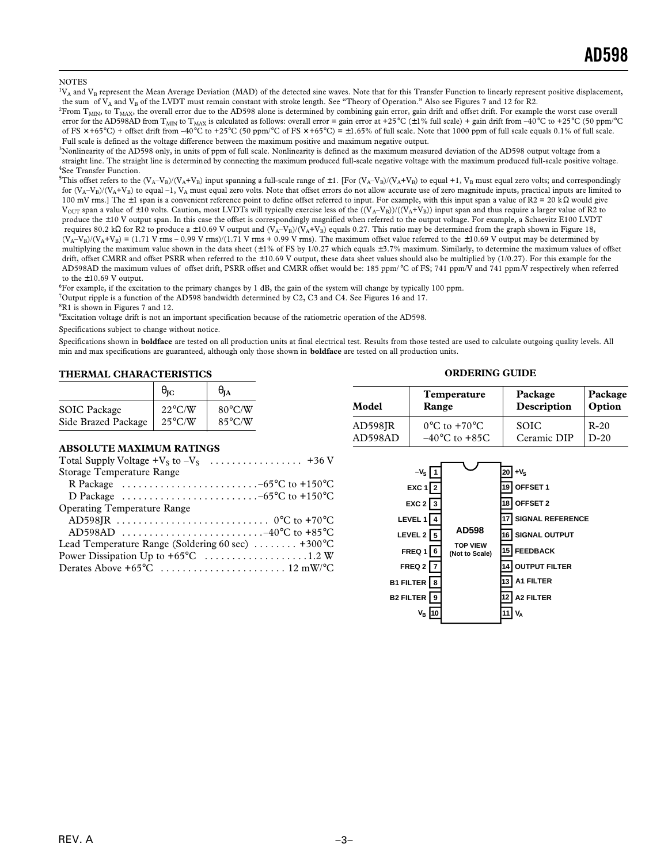#### **NOTES**

 ${}^1V_A$  and  $V_B$  represent the Mean Average Deviation (MAD) of the detected sine waves. Note that for this Transfer Function to linearly represent positive displacement, the sum of  $V_A$  and  $V_B$  of the LVDT must remain constant with stroke length. See "Theory of Operation." Also see Figures 7 and 12 for R2.

 ${}^{2}$ From  ${\rm T}_{\rm MIN}$ , to  ${\rm T}_{\rm MAX}$ , the overall error due to the AD598 alone is determined by combining gain error, gain drift and offset drift. For example the worst case overall error for the AD598AD from T<sub>MIN</sub> to T<sub>MAX</sub> is calculated as follows: overall error = gain error at +25°C (±1% full scale) + gain drift from -40°C to +25°C (50 ppm/°C of FS  $\times$  +65°C) + offset drift from –40°C to +25°C (50 ppm/°C of FS  $\times$  +65°C) = ±1.65% of full scale. Note that 1000 ppm of full scale equals 0.1% of full scale. Full scale is defined as the voltage difference between the maximum positive and maximum negative output.

3 Nonlinearity of the AD598 only, in units of ppm of full scale. Nonlinearity is defined as the maximum measured deviation of the AD598 output voltage from a straight line. The straight line is determined by connecting the maximum produced full-scale negative voltage with the maximum produced full-scale positive voltage. 4 See Transfer Function.

<sup>5</sup>This offset refers to the  $(V_A-V_B)/(V_A+V_B)$  input spanning a full-scale range of  $\pm 1$ . [For  $(V_A-V_B)/(V_A+V_B)$  to equal +1,  $V_B$  must equal zero volts; and correspondingly for  $(V_A-V_B)/(V_A+V_B)$  to equal –1,  $V_A$  must equal zero volts. Note that offset errors do not allow accurate use of zero magnitude inputs, practical inputs are limited to 100 mV rms.] The  $\pm$  1 span is a convenient reference point to define offset referred to input. For example, with this input span a value of R2 = 20 kΩ would give  $V_{\text{OUT}}$  span a value of  $\pm 10$  volts. Caution, most LVDTs will typically exercise less of the  $((V_A - V_B))/(V_A + V_B)$  input span and thus require a larger value of R2 to produce the ±10 V output span. In this case the offset is correspondingly magnified when referred to the output voltage. For example, a Schaevitz E100 LVDT requires 80.2 kΩ for R2 to produce a ±10.69 V output and  $(V_A-V_B)/(V_A+V_B)$  equals 0.27. This ratio may be determined from the graph shown in Figure 18,  $(V_A-V_B)/(V_A+V_B) = (1.71 \text{ V rms} - 0.99 \text{ V rms})/(1.71 \text{ V rms} + 0.99 \text{ V rms})$ . The maximum offset value referred to the ±10.69 V output may be determined by multiplying the maximum value shown in the data sheet (±1% of FS by 1/0.27 which equals ±3.7% maximum. Similarly, to determine the maximum values of offset drift, offset CMRR and offset PSRR when referred to the ±10.69 V output, these data sheet values should also be multiplied by (1/0.27). For this example for the AD598AD the maximum values of offset drift, PSRR offset and CMRR offset would be: 185 ppm/ °C of FS; 741 ppm/V and 741 ppm*/*V respectively when referred to the  $\pm 10.69$  V output.

6 For example, if the excitation to the primary changes by 1 dB, the gain of the system will change by typically 100 ppm.

<sup>7</sup>Output ripple is a function of the AD598 bandwidth determined by C2, C3 and C4. See Figures 16 and 17.

8 R1 is shown in Figures 7 and 12.

<sup>9</sup>Excitation voltage drift is not an important specification because of the ratiometric operation of the AD598.

Specifications subject to change without notice.

Specifications shown in **boldface** are tested on all production units at final electrical test. Results from those tested are used to calculate outgoing quality levels. All min and max specifications are guaranteed, although only those shown in **boldface** are tested on all production units.

#### **THERMAL CHARACTERISTICS**

|                     | $\theta_{\rm IC}$ | UIA              |
|---------------------|-------------------|------------------|
| <b>SOIC</b> Package | $22^{\circ}$ C/W  | $80^{\circ}$ C/W |
| Side Brazed Package | $25^{\circ}$ C/W  | $85^{\circ}$ C/W |

#### **ABSOLUTE MAXIMUM RATINGS**

| Total Supply Voltage $+V_s$ to $-V_s$<br>. +36 V                                            |  |
|---------------------------------------------------------------------------------------------|--|
| Storage Temperature Range                                                                   |  |
| R Package $\ldots \ldots \ldots \ldots \ldots \ldots \ldots \ldots -65^{\circ}C$ to +150 °C |  |
| D Package $\ldots \ldots \ldots \ldots \ldots \ldots \ldots \ldots -65^{\circ}C$ to +150 °C |  |
| <b>Operating Temperature Range</b>                                                          |  |
|                                                                                             |  |
|                                                                                             |  |
| Lead Temperature Range (Soldering 60 sec) $\dots \dots$ +300 °C                             |  |
|                                                                                             |  |
|                                                                                             |  |
|                                                                                             |  |

### **ORDERING GUIDE**

| Model   | <b>Temperature</b>                | Package     | Package |  |
|---------|-----------------------------------|-------------|---------|--|
|         | Range                             | Description | Option  |  |
| AD598JR | $0^{\circ}$ C to +70 $^{\circ}$ C | <b>SOIC</b> | $R-20$  |  |
| AD598AD | $-40^{\circ}$ C to $+85$ C        | Ceramic DIP | $D-20$  |  |

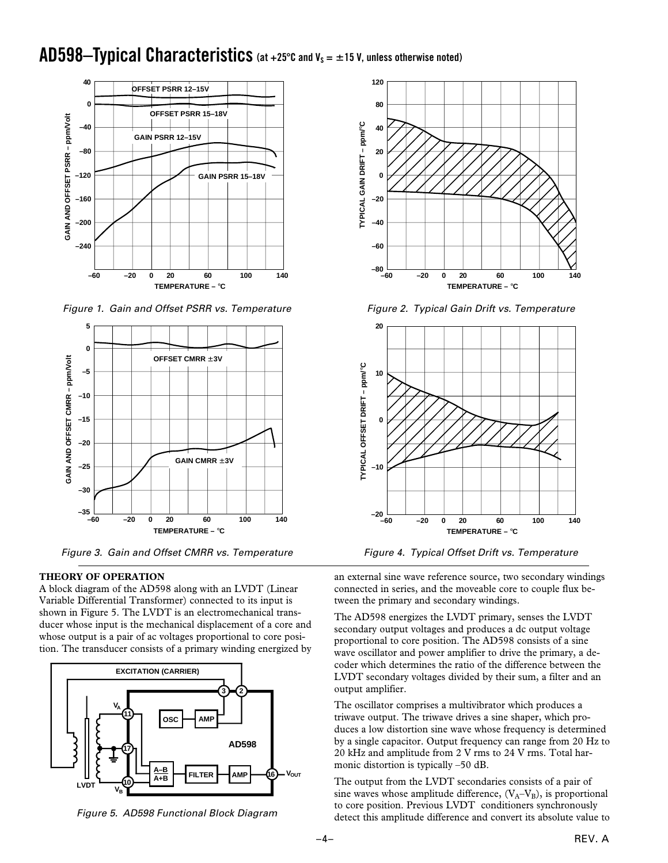### AD598-Typical Characteristics (at +25°C and V<sub>S</sub> = ±15 V, unless otherwise noted)



Figure 1. Gain and Offset PSRR vs. Temperature



Figure 3. Gain and Offset CMRR vs. Temperature

### **THEORY OF OPERATION**

A block diagram of the AD598 along with an LVDT (Linear Variable Differential Transformer) connected to its input is shown in Figure 5. The LVDT is an electromechanical transducer whose input is the mechanical displacement of a core and whose output is a pair of ac voltages proportional to core position. The transducer consists of a primary winding energized by



Figure 5. AD598 Functional Block Diagram



Figure 2. Typical Gain Drift vs. Temperature



Figure 4. Typical Offset Drift vs. Temperature

an external sine wave reference source, two secondary windings connected in series, and the moveable core to couple flux between the primary and secondary windings.

The AD598 energizes the LVDT primary, senses the LVDT secondary output voltages and produces a dc output voltage proportional to core position. The AD598 consists of a sine wave oscillator and power amplifier to drive the primary, a decoder which determines the ratio of the difference between the LVDT secondary voltages divided by their sum, a filter and an output amplifier.

The oscillator comprises a multivibrator which produces a triwave output. The triwave drives a sine shaper, which produces a low distortion sine wave whose frequency is determined by a single capacitor. Output frequency can range from 20 Hz to 20 kHz and amplitude from 2 V rms to 24 V rms. Total harmonic distortion is typically –50 dB.

The output from the LVDT secondaries consists of a pair of sine waves whose amplitude difference,  $(V_A - V_B)$ , is proportional to core position. Previous LVDT conditioners synchronously detect this amplitude difference and convert its absolute value to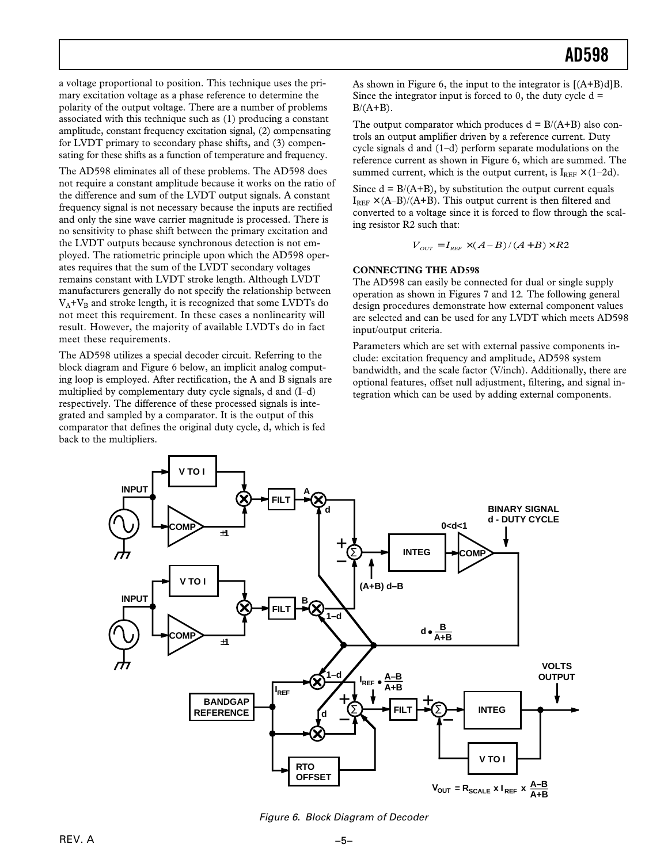a voltage proportional to position. This technique uses the primary excitation voltage as a phase reference to determine the polarity of the output voltage. There are a number of problems associated with this technique such as (1) producing a constant amplitude, constant frequency excitation signal, (2) compensating for LVDT primary to secondary phase shifts, and (3) compensating for these shifts as a function of temperature and frequency.

The AD598 eliminates all of these problems. The AD598 does not require a constant amplitude because it works on the ratio of the difference and sum of the LVDT output signals. A constant frequency signal is not necessary because the inputs are rectified and only the sine wave carrier magnitude is processed. There is no sensitivity to phase shift between the primary excitation and the LVDT outputs because synchronous detection is not employed. The ratiometric principle upon which the AD598 operates requires that the sum of the LVDT secondary voltages remains constant with LVDT stroke length. Although LVDT manufacturers generally do not specify the relationship between  $V_A+V_B$  and stroke length, it is recognized that some LVDTs do not meet this requirement. In these cases a nonlinearity will result. However, the majority of available LVDTs do in fact meet these requirements.

The AD598 utilizes a special decoder circuit. Referring to the block diagram and Figure 6 below, an implicit analog computing loop is employed. After rectification, the A and B signals are multiplied by complementary duty cycle signals, d and (I–d) respectively. The difference of these processed signals is integrated and sampled by a comparator. It is the output of this comparator that defines the original duty cycle, d, which is fed back to the multipliers.

As shown in Figure 6, the input to the integrator is [(A+B)d]B. Since the integrator input is forced to 0, the duty cycle  $d =$  $B/(A+B)$ .

The output comparator which produces  $d = B/(A+B)$  also controls an output amplifier driven by a reference current. Duty cycle signals d and (1–d) perform separate modulations on the reference current as shown in Figure 6, which are summed. The summed current, which is the output current, is  $I_{REF} \times (1-2d)$ .

Since  $d = B/(A+B)$ , by substitution the output current equals  $I_{REF} \times (A-B)/(A+B)$ . This output current is then filtered and converted to a voltage since it is forced to flow through the scaling resistor R2 such that:

$$
V_{\text{OUT}} = I_{\text{REF}} \times (A-B)/(A+B) \times R2
$$

### **CONNECTING THE AD598**

The AD598 can easily be connected for dual or single supply operation as shown in Figures 7 and 12*.* The following general design procedures demonstrate how external component values are selected and can be used for any LVDT which meets AD598 input/output criteria.

Parameters which are set with external passive components include: excitation frequency and amplitude, AD598 system bandwidth, and the scale factor (V/inch). Additionally, there are optional features, offset null adjustment, filtering, and signal integration which can be used by adding external components.



Figure 6. Block Diagram of Decoder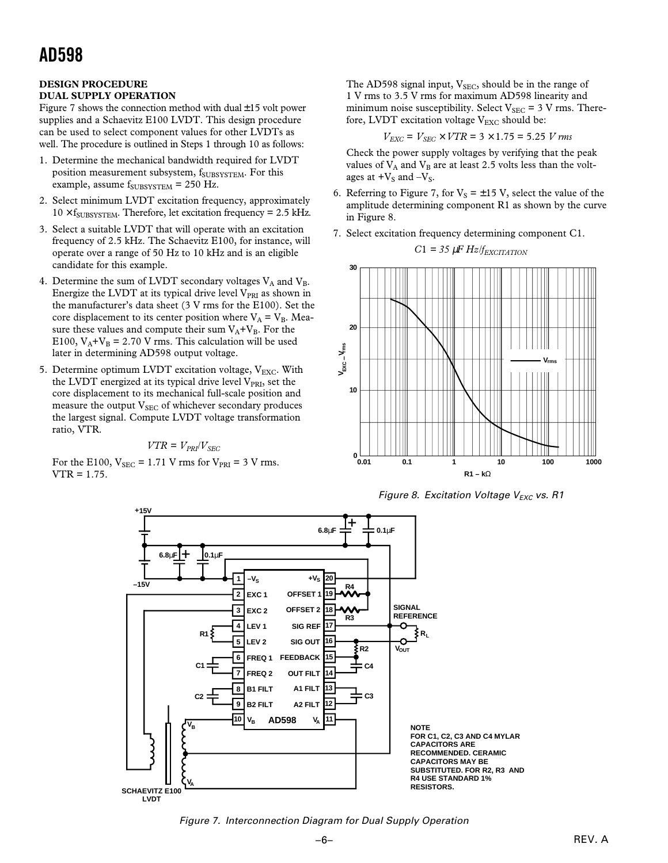#### **DESIGN PROCEDURE DUAL SUPPLY OPERATION**

Figure 7 shows the connection method with dual  $\pm$ 15 volt power supplies and a Schaevitz E100 LVDT. This design procedure can be used to select component values for other LVDTs as well. The procedure is outlined in Steps 1 through 10 as follows:

- 1. Determine the mechanical bandwidth required for LVDT position measurement subsystem, f<sub>SUBSYSTEM</sub>. For this example, assume  $f_{\text{SUBSYSTEM}} = 250$  Hz.
- 2. Select minimum LVDT excitation frequency, approximately  $10 \times f_{\text{SUBSYSTEM}}$ . Therefore, let excitation frequency = 2.5 kHz.
- 3. Select a suitable LVDT that will operate with an excitation frequency of 2.5 kHz. The Schaevitz E100, for instance, will operate over a range of 50 Hz to 10 kHz and is an eligible candidate for this example.
- 4. Determine the sum of LVDT secondary voltages  $V_A$  and  $V_B$ . Energize the LVDT at its typical drive level  $V_{PRI}$  as shown in the manufacturer's data sheet (3 V rms for the E100). Set the core displacement to its center position where  $V_A = V_B$ . Measure these values and compute their sum  $V_A+V_B$ . For the E100,  $V_A + V_B = 2.70$  V rms. This calculation will be used later in determining AD598 output voltage.
- 5. Determine optimum LVDT excitation voltage,  $V_{\text{EXC}}$ . With the LVDT energized at its typical drive level  $V_{PRI}$ , set the core displacement to its mechanical full-scale position and measure the output V<sub>SEC</sub> of whichever secondary produces the largest signal. Compute LVDT voltage transformation ratio, VTR.

$$
VTR = V_{PRI}/V_{SEC}
$$

For the E100,  $V_{SEC} = 1.71$  V rms for  $V_{PRI} = 3$  V rms. VTR = 1.75.

The AD598 signal input,  $V_{SEC}$ , should be in the range of 1 V rms to 3.5 V rms for maximum AD598 linearity and minimum noise susceptibility. Select  $V_{SEC} = 3$  V rms. Therefore, LVDT excitation voltage  $V_{\text{EXC}}$  should be:

$$
V_{EXC} = V_{SEC} \times VTR = 3 \times 1.75 = 5.25
$$
 V rms

Check the power supply voltages by verifying that the peak values of  $V_A$  and  $V_B$  are at least 2.5 volts less than the voltages at  $+V_S$  and  $-V_S$ .

- 6. Referring to Figure 7, for  $V_s = \pm 15$  V, select the value of the amplitude determining component R1 as shown by the curve in Figure 8.
- 7. Select excitation frequency determining component C1.

$$
C1 = 35 \, \mu F \, Hz / f_{EXCITATION}
$$



Figure 8. Excitation Voltage  $V_{EXC}$  vs. R1



Figure 7. Interconnection Diagram for Dual Supply Operation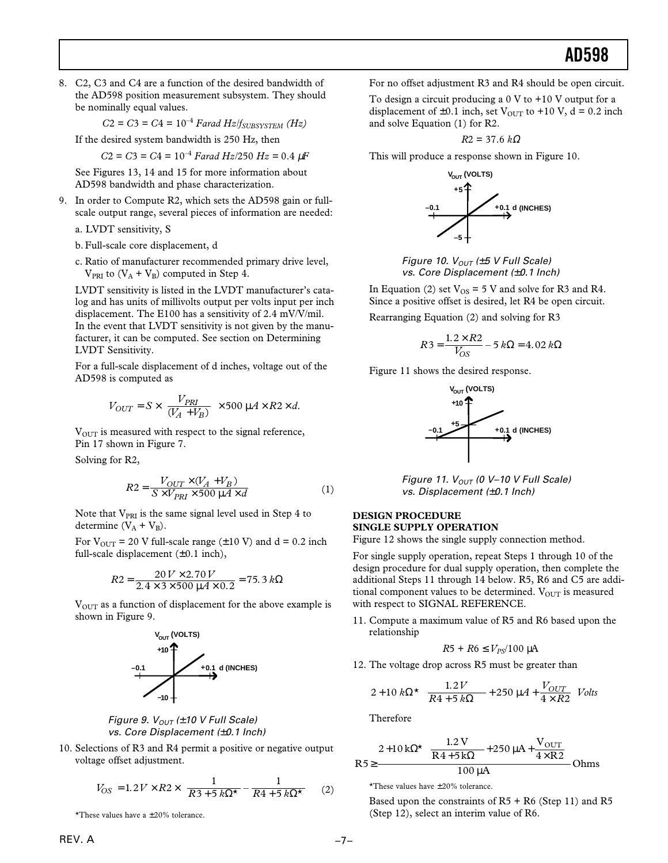8. C2, C3 and C4 are a function of the desired bandwidth of the AD598 position measurement subsystem. They should be nominally equal values.

 $C2 = C3 = C4 = 10^{-4}$  *Farad Hz*/*f<sub>SUBSYSTEM* (*Hz*)</sub>

If the desired system bandwidth is 250 Hz, then

 $C2 = C3 = C4 = 10^{-4}$  *Farad Hz*/250 *Hz* = 0.4  $\mu$ *F* 

See Figures 13, 14 and 15 for more information about AD598 bandwidth and phase characterization.

9. In order to Compute R2, which sets the AD598 gain or fullscale output range, several pieces of information are needed:

a. LVDT sensitivity, S

- b. Full-scale core displacement, d
- c. Ratio of manufacturer recommended primary drive level,  $V_{PRI}$  to  $(V_A + V_B)$  computed in Step 4.

LVDT sensitivity is listed in the LVDT manufacturer's catalog and has units of millivolts output per volts input per inch displacement. The E100 has a sensitivity of 2.4 mV/V/mil. In the event that LVDT sensitivity is not given by the manufacturer, it can be computed. See section on Determining LVDT Sensitivity.

For a full-scale displacement of d inches, voltage out of the AD598 is computed as

$$
V_{OUT} = S \times \left[ \frac{V_{PRI}}{(V_A + V_B)} \right] \times 500 \, \mu A \times R2 \times d.
$$

V<sub>OUT</sub> is measured with respect to the signal reference, Pin 17 shown in Figure 7.

Solving for R2,

$$
R2 = \frac{V_{OUT} \times (V_A + V_B)}{S \times V_{PRI} \times 500 \,\mu A \times d}
$$
 (1)

Note that  $V_{PRI}$  is the same signal level used in Step 4 to determine  $(V_A + V_B)$ .

For  $V_{\text{OUT}}$  = 20 V full-scale range ( $\pm 10$  V) and d = 0.2 inch full-scale displacement  $(\pm 0.1 \text{ inch})$ ,

$$
R2 = \frac{20 V \times 2.70 V}{2.4 \times 3 \times 500 \mu A \times 0.2} = 75.3 k\Omega
$$

 $V<sub>OUT</sub>$  as a function of displacement for the above example is shown in Figure 9.





10. Selections of R3 and R4 permit a positive or negative output voltage offset adjustment.

$$
V_{OS} = 1.2 V \times R2 \times \left(\frac{1}{R3 + 5 k\Omega^{\star}} - \frac{1}{R4 + 5 k\Omega^{\star}}\right) (2)
$$

\*These values have a ±20% tolerance.

For no offset adjustment R3 and R4 should be open circuit.

To design a circuit producing a  $0 \nabla$  to  $+10 \nabla$  output for a displacement of  $\pm 0.1$  inch, set V<sub>OUT</sub> to  $+10$  V, d = 0.2 inch and solve Equation (1) for R2.

$$
R2=37.6\;k\Omega
$$

This will produce a response shown in Figure 10.



Figure 10.  $V_{OUT}$  (±5 V Full Scale) vs. Core Displacement (±0.1 Inch)

In Equation (2) set  $V_{OS} = 5$  V and solve for R3 and R4. Since a positive offset is desired, let R4 be open circuit.

Rearranging Equation (2) and solving for R3

$$
R3 = \frac{1.2 \times R2}{V_{OS}} - 5 k\Omega = 4.02 k\Omega
$$

Figure 11 shows the desired response.



Figure 11.  $V_{OUT}$  (0 V-10 V Full Scale) vs. Displacement (±0.1 Inch)

### **DESIGN PROCEDURE SINGLE SUPPLY OPERATION**

Figure 12 shows the single supply connection method.

For single supply operation, repeat Steps 1 through 10 of the design procedure for dual supply operation, then complete the additional Steps 11 through 14 below. R5, R6 and C5 are additional component values to be determined.  $V_{OUT}$  is measured with respect to SIGNAL REFERENCE.

11. Compute a maximum value of R5 and R6 based upon the relationship

$$
R5 + R6 \leq V_{PS}/100 \text{ }\mu\text{A}
$$

12. The voltage drop across R5 must be greater than

$$
2 + 10 k\Omega^{\star} \left( \frac{1.2 V}{R4 + 5 k\Omega} + 250 \mu A + \frac{V_{OUT}}{4 \times R2} \right) Volts
$$

Therefore

$$
R5 \ge \frac{2+10 k\Omega^{\star} \left(\frac{1.2 V}{R4+5 k\Omega}+250 \mu A+\frac{V_{OUT}}{4 \times R2}\right)}{100 \mu A} Ohms
$$

\*These values have  $\pm 20\%$  tolerance.

Based upon the constraints of  $R5 + R6$  (Step 11) and  $R5$ (Step 12), select an interim value of R6.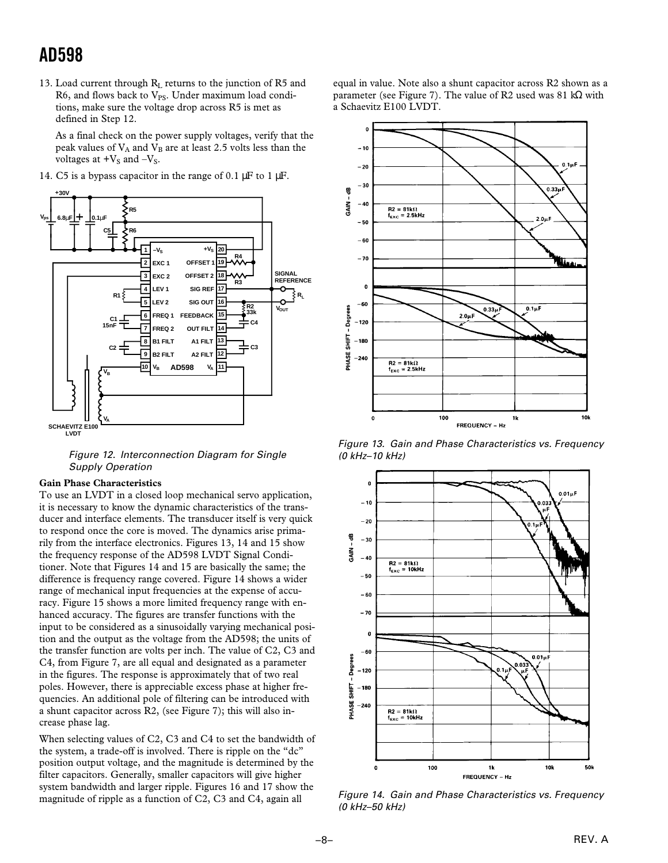13. Load current through  $R_L$  returns to the junction of R5 and R6, and flows back to  $V_{PS}$ . Under maximum load conditions, make sure the voltage drop across R5 is met as defined in Step 12.

As a final check on the power supply voltages, verify that the peak values of  $V_A$  and  $V_B$  are at least 2.5 volts less than the voltages at  $+V_S$  and  $-V_S$ .

14. C5 is a bypass capacitor in the range of 0.1  $\mu$ F to 1  $\mu$ F.



Figure 12. Interconnection Diagram for Single Supply Operation

#### **Gain Phase Characteristics**

To use an LVDT in a closed loop mechanical servo application, it is necessary to know the dynamic characteristics of the transducer and interface elements. The transducer itself is very quick to respond once the core is moved. The dynamics arise primarily from the interface electronics. Figures 13, 14 and 15 show the frequency response of the AD598 LVDT Signal Conditioner. Note that Figures 14 and 15 are basically the same; the difference is frequency range covered. Figure 14 shows a wider range of mechanical input frequencies at the expense of accuracy. Figure 15 shows a more limited frequency range with enhanced accuracy. The figures are transfer functions with the input to be considered as a sinusoidally varying mechanical position and the output as the voltage from the AD598; the units of the transfer function are volts per inch. The value of C2, C3 and C4, from Figure 7, are all equal and designated as a parameter in the figures. The response is approximately that of two real poles. However, there is appreciable excess phase at higher frequencies. An additional pole of filtering can be introduced with a shunt capacitor across R2, (see Figure 7); this will also increase phase lag.

When selecting values of C2, C3 and C4 to set the bandwidth of the system, a trade-off is involved. There is ripple on the "dc" position output voltage, and the magnitude is determined by the filter capacitors. Generally, smaller capacitors will give higher system bandwidth and larger ripple. Figures 16 and 17 show the magnitude of ripple as a function of C2, C3 and C4, again all

equal in value. Note also a shunt capacitor across R2 shown as a parameter (see Figure 7). The value of R2 used was 81 k $\Omega$  with a Schaevitz E100 LVDT.



Figure 13. Gain and Phase Characteristics vs. Frequency (0 kHz–10 kHz)



Figure 14. Gain and Phase Characteristics vs. Frequency (0 kHz–50 kHz)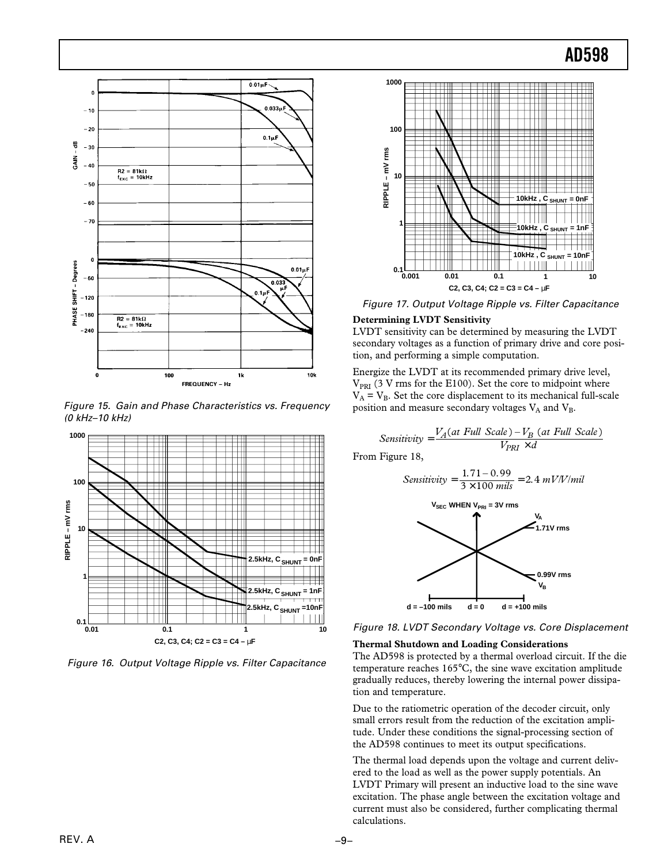

Figure 15. Gain and Phase Characteristics vs. Frequency (0 kHz–10 kHz)



Figure 16. Output Voltage Ripple vs. Filter Capacitance



Figure 17. Output Voltage Ripple vs. Filter Capacitance

#### **Determining LVDT Sensitivity**

LVDT sensitivity can be determined by measuring the LVDT secondary voltages as a function of primary drive and core position, and performing a simple computation.

Energize the LVDT at its recommended primary drive level,  $V_{PRI}$  (3 V rms for the E100). Set the core to midpoint where  $V_A = V_B$ . Set the core displacement to its mechanical full-scale position and measure secondary voltages  $V_A$  and  $V_B$ .

$$
Sensitivity = \frac{V_A(at \text{ Full Scale}) - V_B(at \text{ Full Scale})}{V_{PRI} \times d}
$$

From Figure 18,

$$
Sensitivity = \frac{1.71 - 0.99}{3 \times 100 \text{ miles}} = 2.4 \text{ mV/V/ml}
$$



Figure 18. LVDT Secondary Voltage vs. Core Displacement

#### **Thermal Shutdown and Loading Considerations**

The AD598 is protected by a thermal overload circuit. If the die temperature reaches 165°C, the sine wave excitation amplitude gradually reduces, thereby lowering the internal power dissipation and temperature.

Due to the ratiometric operation of the decoder circuit, only small errors result from the reduction of the excitation amplitude. Under these conditions the signal-processing section of the AD598 continues to meet its output specifications.

The thermal load depends upon the voltage and current delivered to the load as well as the power supply potentials. An LVDT Primary will present an inductive load to the sine wave excitation. The phase angle between the excitation voltage and current must also be considered, further complicating thermal calculations.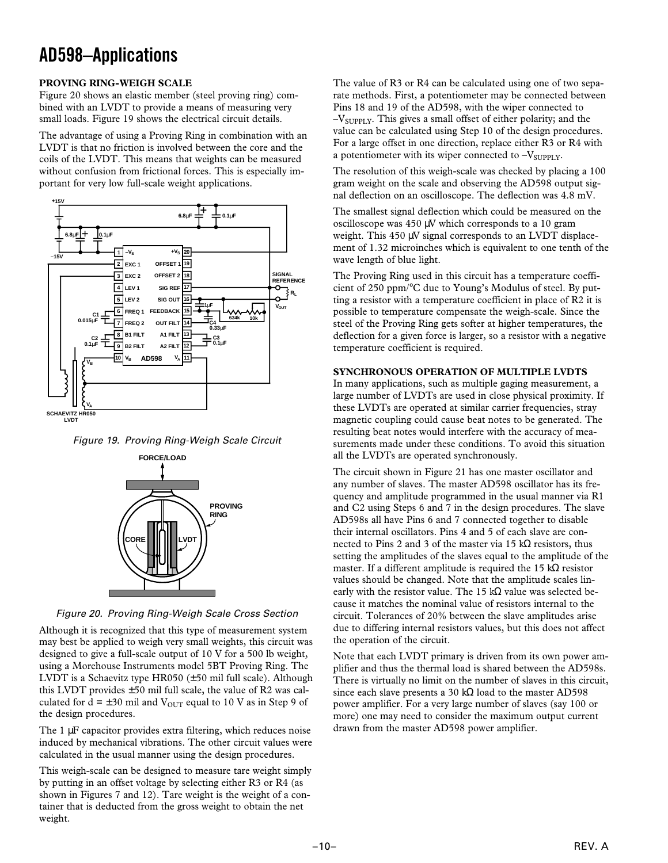## **AD598–Applications**

### **PROVING RING-WEIGH SCALE**

Figure 20 shows an elastic member (steel proving ring) combined with an LVDT to provide a means of measuring very small loads. Figure 19 shows the electrical circuit details.

The advantage of using a Proving Ring in combination with an LVDT is that no friction is involved between the core and the coils of the LVDT. This means that weights can be measured without confusion from frictional forces. This is especially important for very low full-scale weight applications.



Figure 19. Proving Ring-Weigh Scale Circuit



Figure 20. Proving Ring-Weigh Scale Cross Section

Although it is recognized that this type of measurement system may best be applied to weigh very small weights, this circuit was designed to give a full-scale output of 10 V for a 500 lb weight, using a Morehouse Instruments model 5BT Proving Ring. The LVDT is a Schaevitz type HR050 (±50 mil full scale). Although this LVDT provides  $\pm 50$  mil full scale, the value of R2 was calculated for  $d = \pm 30$  mil and  $V_{\text{OUT}}$  equal to 10 V as in Step 9 of the design procedures.

The 1  $\mu$ F capacitor provides extra filtering, which reduces noise induced by mechanical vibrations. The other circuit values were calculated in the usual manner using the design procedures.

This weigh-scale can be designed to measure tare weight simply by putting in an offset voltage by selecting either R3 or R4 (as shown in Figures 7 and 12). Tare weight is the weight of a container that is deducted from the gross weight to obtain the net weight.

The value of R3 or R4 can be calculated using one of two separate methods. First, a potentiometer may be connected between Pins 18 and 19 of the AD598, with the wiper connected to  $-V_{\text{SUPPLY}}$ . This gives a small offset of either polarity; and the value can be calculated using Step 10 of the design procedures. For a large offset in one direction, replace either R3 or R4 with a potentiometer with its wiper connected to  $-V_{\text{SUPPLY}}$ .

The resolution of this weigh-scale was checked by placing a 100 gram weight on the scale and observing the AD598 output signal deflection on an oscilloscope. The deflection was 4.8 mV.

The smallest signal deflection which could be measured on the oscilloscope was 450 µV which corresponds to a 10 gram weight. This 450  $\mu$ V signal corresponds to an LVDT displacement of 1.32 microinches which is equivalent to one tenth of the wave length of blue light.

The Proving Ring used in this circuit has a temperature coefficient of 250 ppm/°C due to Young's Modulus of steel. By putting a resistor with a temperature coefficient in place of R2 it is possible to temperature compensate the weigh-scale. Since the steel of the Proving Ring gets softer at higher temperatures, the deflection for a given force is larger, so a resistor with a negative temperature coefficient is required.

### **SYNCHRONOUS OPERATION OF MULTIPLE LVDTS**

In many applications, such as multiple gaging measurement, a large number of LVDTs are used in close physical proximity. If these LVDTs are operated at similar carrier frequencies, stray magnetic coupling could cause beat notes to be generated. The resulting beat notes would interfere with the accuracy of measurements made under these conditions. To avoid this situation all the LVDTs are operated synchronously.

The circuit shown in Figure 21 has one master oscillator and any number of slaves. The master AD598 oscillator has its frequency and amplitude programmed in the usual manner via R1 and C2 using Steps 6 and 7 in the design procedures. The slave AD598s all have Pins 6 and 7 connected together to disable their internal oscillators. Pins 4 and 5 of each slave are connected to Pins 2 and 3 of the master via 15 kΩ resistors, thus setting the amplitudes of the slaves equal to the amplitude of the master. If a different amplitude is required the 15 k $\Omega$  resistor values should be changed. Note that the amplitude scales linearly with the resistor value. The 15 kΩ value was selected because it matches the nominal value of resistors internal to the circuit. Tolerances of 20% between the slave amplitudes arise due to differing internal resistors values, but this does not affect the operation of the circuit.

Note that each LVDT primary is driven from its own power amplifier and thus the thermal load is shared between the AD598s. There is virtually no limit on the number of slaves in this circuit, since each slave presents a 30 kΩ load to the master AD598 power amplifier. For a very large number of slaves (say 100 or more) one may need to consider the maximum output current drawn from the master AD598 power amplifier.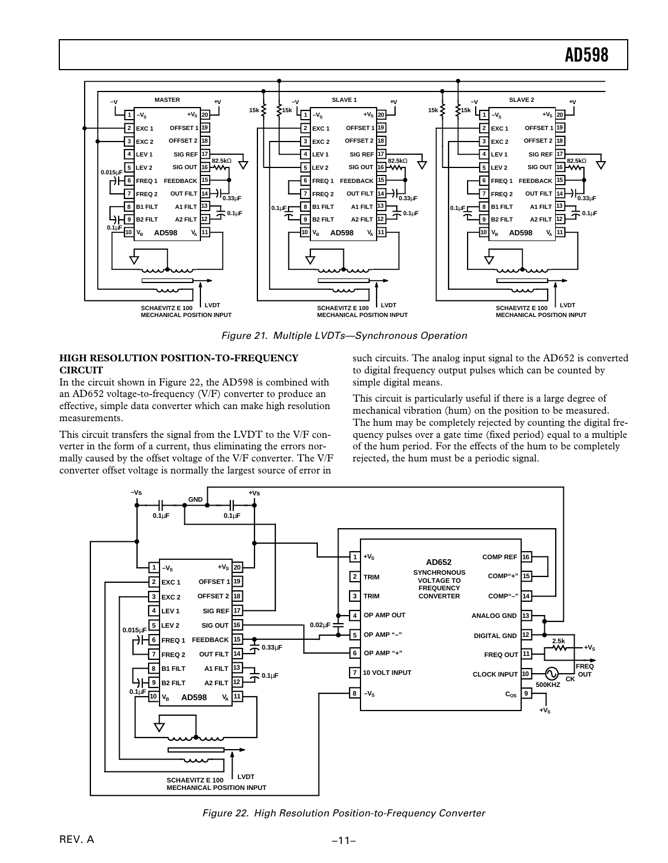

Figure 21. Multiple LVDTs—Synchronous Operation

### **HIGH RESOLUTION POSITION-TO-FREQUENCY CIRCUIT**

In the circuit shown in Figure 22, the AD598 is combined with an AD652 voltage-to-frequency (V/F) converter to produce an effective, simple data converter which can make high resolution measurements.

This circuit transfers the signal from the LVDT to the V/F converter in the form of a current, thus eliminating the errors normally caused by the offset voltage of the V/F converter. The V/F converter offset voltage is normally the largest source of error in

such circuits. The analog input signal to the AD652 is converted to digital frequency output pulses which can be counted by simple digital means.

This circuit is particularly useful if there is a large degree of mechanical vibration (hum) on the position to be measured. The hum may be completely rejected by counting the digital frequency pulses over a gate time (fixed period) equal to a multiple of the hum period. For the effects of the hum to be completely rejected, the hum must be a periodic signal.



Figure 22. High Resolution Position-to-Frequency Converter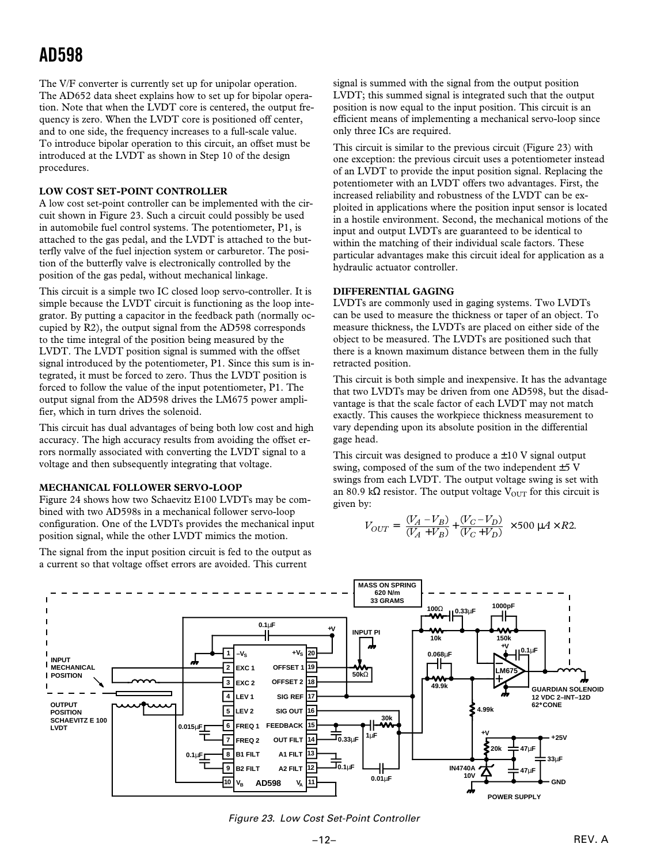The V/F converter is currently set up for unipolar operation. The AD652 data sheet explains how to set up for bipolar operation. Note that when the LVDT core is centered, the output frequency is zero. When the LVDT core is positioned off center, and to one side, the frequency increases to a full-scale value. To introduce bipolar operation to this circuit, an offset must be introduced at the LVDT as shown in Step 10 of the design procedures.

### **LOW COST SET-POINT CONTROLLER**

A low cost set-point controller can be implemented with the circuit shown in Figure 23. Such a circuit could possibly be used in automobile fuel control systems. The potentiometer, P1, is attached to the gas pedal, and the LVDT is attached to the butterfly valve of the fuel injection system or carburetor. The position of the butterfly valve is electronically controlled by the position of the gas pedal, without mechanical linkage.

This circuit is a simple two IC closed loop servo-controller. It is simple because the LVDT circuit is functioning as the loop integrator. By putting a capacitor in the feedback path (normally occupied by R2), the output signal from the AD598 corresponds to the time integral of the position being measured by the LVDT. The LVDT position signal is summed with the offset signal introduced by the potentiometer, P1. Since this sum is integrated, it must be forced to zero. Thus the LVDT position is forced to follow the value of the input potentiometer, P1. The output signal from the AD598 drives the LM675 power amplifier, which in turn drives the solenoid.

This circuit has dual advantages of being both low cost and high accuracy. The high accuracy results from avoiding the offset errors normally associated with converting the LVDT signal to a voltage and then subsequently integrating that voltage.

### **MECHANICAL FOLLOWER SERVO-LOOP**

Figure 24 shows how two Schaevitz E100 LVDTs may be combined with two AD598s in a mechanical follower servo-loop configuration. One of the LVDTs provides the mechanical input position signal, while the other LVDT mimics the motion.

The signal from the input position circuit is fed to the output as a current so that voltage offset errors are avoided. This current

signal is summed with the signal from the output position LVDT; this summed signal is integrated such that the output position is now equal to the input position. This circuit is an efficient means of implementing a mechanical servo-loop since only three ICs are required.

This circuit is similar to the previous circuit (Figure 23) with one exception: the previous circuit uses a potentiometer instead of an LVDT to provide the input position signal. Replacing the potentiometer with an LVDT offers two advantages. First, the increased reliability and robustness of the LVDT can be exploited in applications where the position input sensor is located in a hostile environment. Second, the mechanical motions of the input and output LVDTs are guaranteed to be identical to within the matching of their individual scale factors. These particular advantages make this circuit ideal for application as a hydraulic actuator controller.

### **DIFFERENTIAL GAGING**

LVDTs are commonly used in gaging systems. Two LVDTs can be used to measure the thickness or taper of an object. To measure thickness, the LVDTs are placed on either side of the object to be measured. The LVDTs are positioned such that there is a known maximum distance between them in the fully retracted position.

This circuit is both simple and inexpensive. It has the advantage that two LVDTs may be driven from one AD598, but the disadvantage is that the scale factor of each LVDT may not match exactly. This causes the workpiece thickness measurement to vary depending upon its absolute position in the differential gage head.

This circuit was designed to produce  $a \pm 10$  V signal output swing, composed of the sum of the two independent  $\pm$  5 V swings from each LVDT. The output voltage swing is set with an 80.9 kΩ resistor. The output voltage  $V_{\text{OUT}}$  for this circuit is given by:

$$
V_{OUT} = \left[\frac{(V_A - V_B)}{(V_A + V_B)} + \frac{(V_C - V_D)}{(V_C + V_D)}\right] \times 500 \, \mu A \times R2.
$$



Figure 23. Low Cost Set-Point Controller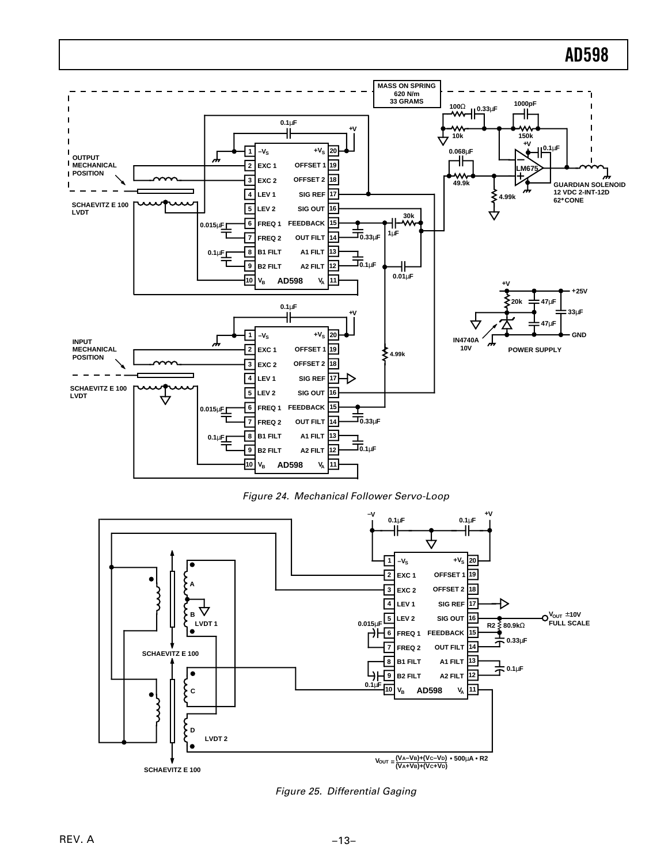

Figure 24. Mechanical Follower Servo-Loop



Figure 25. Differential Gaging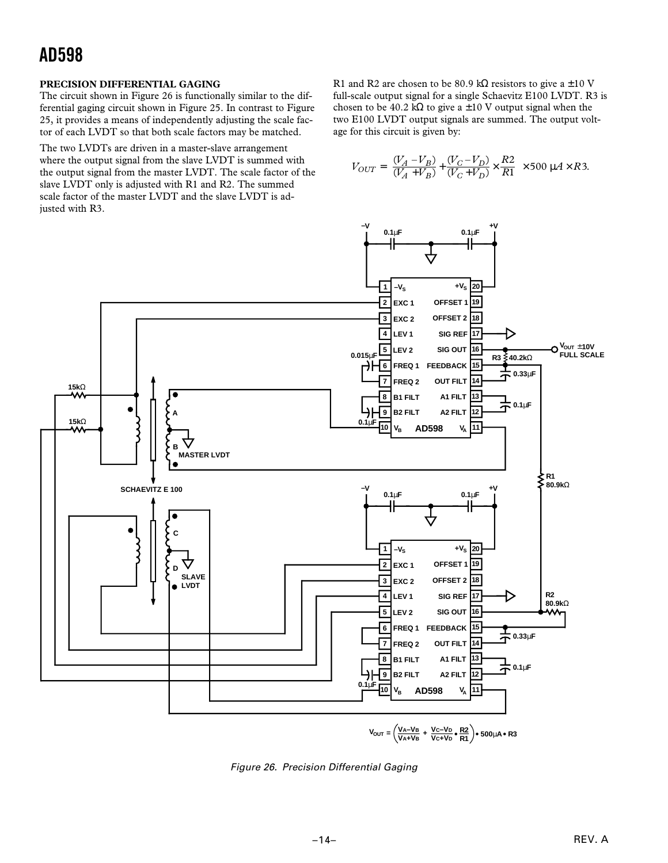### **PRECISION DIFFERENTIAL GAGING**

The circuit shown in Figure 26 is functionally similar to the differential gaging circuit shown in Figure 25. In contrast to Figure 25, it provides a means of independently adjusting the scale factor of each LVDT so that both scale factors may be matched.

The two LVDTs are driven in a master-slave arrangement where the output signal from the slave LVDT is summed with the output signal from the master LVDT. The scale factor of the slave LVDT only is adjusted with R1 and R2. The summed scale factor of the master LVDT and the slave LVDT is adjusted with R3.

R1 and R2 are chosen to be 80.9 kΩ resistors to give a  $\pm 10$  V full-scale output signal for a single Schaevitz E100 LVDT. R3 is chosen to be 40.2 kΩ to give a  $\pm 10$  V output signal when the two E100 LVDT output signals are summed. The output voltage for this circuit is given by:

$$
V_{OUT} = \left[\frac{(V_A - V_B)}{(V_A + V_B)} + \frac{(V_C - V_D)}{(V_C + V_D)} \times \frac{R2}{R1}\right] \times 500 \mu A \times R3.
$$



Figure 26. Precision Differential Gaging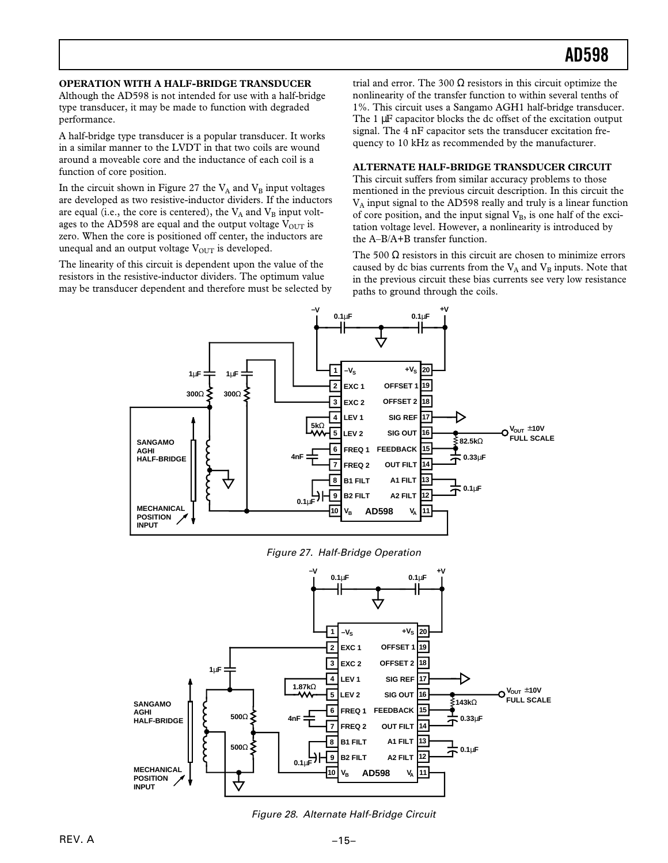### **OPERATION WITH A HALF-BRIDGE TRANSDUCER**

Although the AD598 is not intended for use with a half-bridge type transducer, it may be made to function with degraded performance.

A half-bridge type transducer is a popular transducer. It works in a similar manner to the LVDT in that two coils are wound around a moveable core and the inductance of each coil is a function of core position.

In the circuit shown in Figure 27 the  $V_A$  and  $V_B$  input voltages are developed as two resistive-inductor dividers. If the inductors are equal (i.e., the core is centered), the  $V_A$  and  $V_B$  input voltages to the AD598 are equal and the output voltage  $V_{\text{OUT}}$  is zero. When the core is positioned off center, the inductors are unequal and an output voltage  $V_{OUT}$  is developed.

The linearity of this circuit is dependent upon the value of the resistors in the resistive-inductor dividers. The optimum value may be transducer dependent and therefore must be selected by

trial and error. The 300  $\Omega$  resistors in this circuit optimize the nonlinearity of the transfer function to within several tenths of 1%. This circuit uses a Sangamo AGH1 half-bridge transducer. The 1  $\mu$ F capacitor blocks the dc offset of the excitation output signal. The 4 nF capacitor sets the transducer excitation frequency to 10 kHz as recommended by the manufacturer.

### **ALTERNATE HALF-BRIDGE TRANSDUCER CIRCUIT**

This circuit suffers from similar accuracy problems to those mentioned in the previous circuit description. In this circuit the VA input signal to the AD598 really and truly is a linear function of core position, and the input signal  $V_B$ , is one half of the excitation voltage level. However, a nonlinearity is introduced by the A–B/A+B transfer function.

The 500  $\Omega$  resistors in this circuit are chosen to minimize errors caused by dc bias currents from the  $V_A$  and  $V_B$  inputs. Note that in the previous circuit these bias currents see very low resistance paths to ground through the coils.



Figure 27. Half-Bridge Operation



Figure 28. Alternate Half-Bridge Circuit